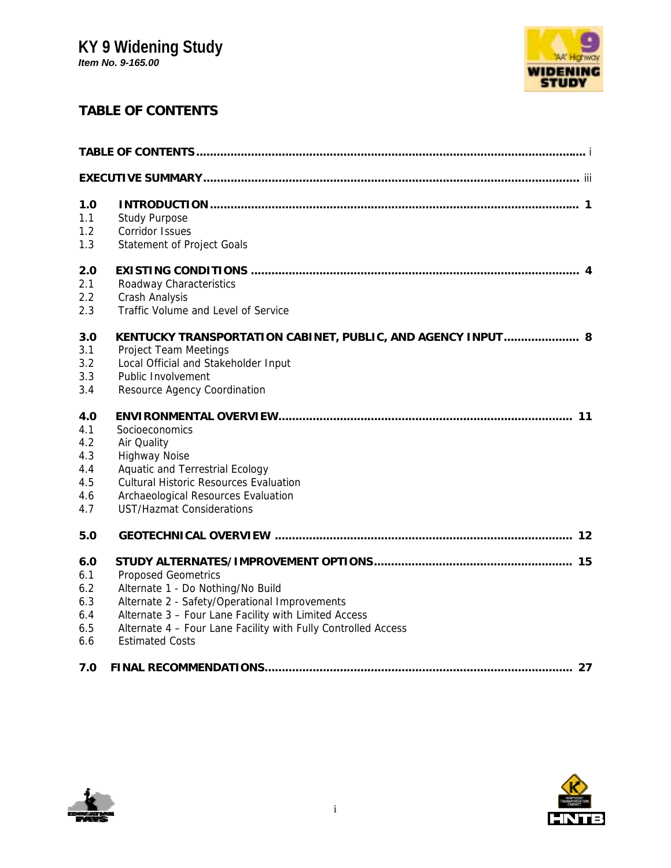# **KY 9 Widening Study**

*Item No. 9-165.00*



# **TABLE OF CONTENTS**

| 1.0 |                                                               |
|-----|---------------------------------------------------------------|
| 1.1 | <b>Study Purpose</b>                                          |
| 1.2 | Corridor Issues                                               |
| 1.3 | Statement of Project Goals                                    |
| 2.0 |                                                               |
| 2.1 | Roadway Characteristics                                       |
| 2.2 | Crash Analysis                                                |
| 2.3 | Traffic Volume and Level of Service                           |
| 3.0 | KENTUCKY TRANSPORTATION CABINET, PUBLIC, AND AGENCY INPUT 8   |
| 3.1 | Project Team Meetings                                         |
| 3.2 | Local Official and Stakeholder Input                          |
| 3.3 | Public Involvement                                            |
| 3.4 | Resource Agency Coordination                                  |
| 4.0 |                                                               |
| 4.1 | Socioeconomics                                                |
| 4.2 | Air Quality                                                   |
| 4.3 | <b>Highway Noise</b>                                          |
| 4.4 | <b>Aquatic and Terrestrial Ecology</b>                        |
| 4.5 | <b>Cultural Historic Resources Evaluation</b>                 |
| 4.6 | Archaeological Resources Evaluation                           |
| 4.7 | <b>UST/Hazmat Considerations</b>                              |
| 5.0 |                                                               |
| 6.0 |                                                               |
| 6.1 | <b>Proposed Geometrics</b>                                    |
| 6.2 | Alternate 1 - Do Nothing/No Build                             |
| 6.3 | Alternate 2 - Safety/Operational Improvements                 |
| 6.4 | Alternate 3 - Four Lane Facility with Limited Access          |
| 6.5 | Alternate 4 - Four Lane Facility with Fully Controlled Access |
| 6.6 | <b>Estimated Costs</b>                                        |
| 7.0 | 27                                                            |